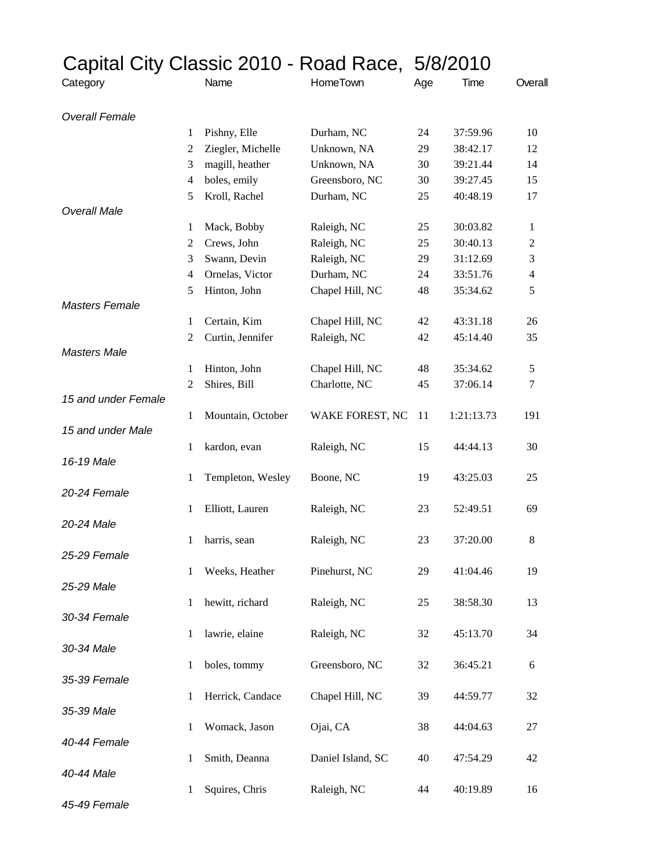|                       | Capital City Classic 2010 - Road Race, 5/8/2010 |                   |                   |     |            |                          |
|-----------------------|-------------------------------------------------|-------------------|-------------------|-----|------------|--------------------------|
| Category              |                                                 | Name              | HomeTown          | Age | Time       | Overall                  |
| <b>Overall Female</b> |                                                 |                   |                   |     |            |                          |
|                       | 1                                               | Pishny, Elle      | Durham, NC        | 24  | 37:59.96   | 10                       |
|                       | 2                                               | Ziegler, Michelle | Unknown, NA       | 29  | 38:42.17   | 12                       |
|                       | 3                                               | magill, heather   | Unknown, NA       | 30  | 39:21.44   | 14                       |
|                       | $\overline{4}$                                  | boles, emily      | Greensboro, NC    | 30  | 39:27.45   | 15                       |
| <b>Overall Male</b>   | 5                                               | Kroll, Rachel     | Durham, NC        | 25  | 40:48.19   | 17                       |
|                       | 1                                               | Mack, Bobby       | Raleigh, NC       | 25  | 30:03.82   | 1                        |
|                       | 2                                               | Crews, John       | Raleigh, NC       | 25  | 30:40.13   | 2                        |
|                       | 3                                               | Swann, Devin      | Raleigh, NC       | 29  | 31:12.69   | 3                        |
|                       | $\overline{4}$                                  | Ornelas, Victor   | Durham, NC        | 24  | 33:51.76   | $\overline{\mathcal{A}}$ |
|                       | 5                                               | Hinton, John      | Chapel Hill, NC   | 48  | 35:34.62   | 5                        |
| <b>Masters Female</b> |                                                 |                   |                   |     |            |                          |
|                       | 1                                               | Certain, Kim      | Chapel Hill, NC   | 42  | 43:31.18   | 26                       |
|                       | 2                                               | Curtin, Jennifer  | Raleigh, NC       | 42  | 45:14.40   | 35                       |
| <b>Masters Male</b>   |                                                 |                   |                   |     |            |                          |
|                       | 1                                               | Hinton, John      | Chapel Hill, NC   | 48  | 35:34.62   | 5                        |
|                       | 2                                               | Shires, Bill      | Charlotte, NC     | 45  | 37:06.14   | 7                        |
| 15 and under Female   |                                                 |                   |                   |     |            |                          |
|                       | 1                                               | Mountain, October | WAKE FOREST, NC   | 11  | 1:21:13.73 | 191                      |
| 15 and under Male     |                                                 |                   |                   |     |            |                          |
|                       | 1                                               | kardon, evan      | Raleigh, NC       | 15  | 44:44.13   | 30                       |
| 16-19 Male            |                                                 |                   |                   |     |            |                          |
|                       | 1                                               | Templeton, Wesley | Boone, NC         | 19  | 43:25.03   | 25                       |
| 20-24 Female          |                                                 |                   |                   |     |            |                          |
| 20-24 Male            | 1                                               | Elliott, Lauren   | Raleigh, NC       | 23  | 52:49.51   | 69                       |
|                       |                                                 | harris, sean      |                   | 23  | 37:20.00   | 8                        |
| 25-29 Female          | 1                                               |                   | Raleigh, NC       |     |            |                          |
|                       | 1                                               | Weeks, Heather    | Pinehurst, NC     | 29  | 41:04.46   | 19                       |
| 25-29 Male            |                                                 |                   |                   |     |            |                          |
|                       | 1                                               | hewitt, richard   | Raleigh, NC       | 25  | 38:58.30   | 13                       |
| 30-34 Female          |                                                 |                   |                   |     |            |                          |
|                       | 1                                               | lawrie, elaine    | Raleigh, NC       | 32  | 45:13.70   | 34                       |
| 30-34 Male            |                                                 |                   |                   |     |            |                          |
|                       | 1                                               | boles, tommy      | Greensboro, NC    | 32  | 36:45.21   | 6                        |
| 35-39 Female          |                                                 |                   |                   |     |            |                          |
|                       | 1                                               | Herrick, Candace  | Chapel Hill, NC   | 39  | 44:59.77   | 32                       |
| 35-39 Male            |                                                 |                   |                   |     |            |                          |
|                       | 1                                               | Womack, Jason     | Ojai, CA          | 38  | 44:04.63   | 27                       |
| 40-44 Female          |                                                 |                   |                   |     |            |                          |
|                       | 1                                               | Smith, Deanna     | Daniel Island, SC | 40  | 47:54.29   | 42                       |
| 40-44 Male            |                                                 |                   |                   |     |            |                          |
|                       | 1                                               | Squires, Chris    | Raleigh, NC       | 44  | 40:19.89   | 16                       |
| 45-49 Female          |                                                 |                   |                   |     |            |                          |